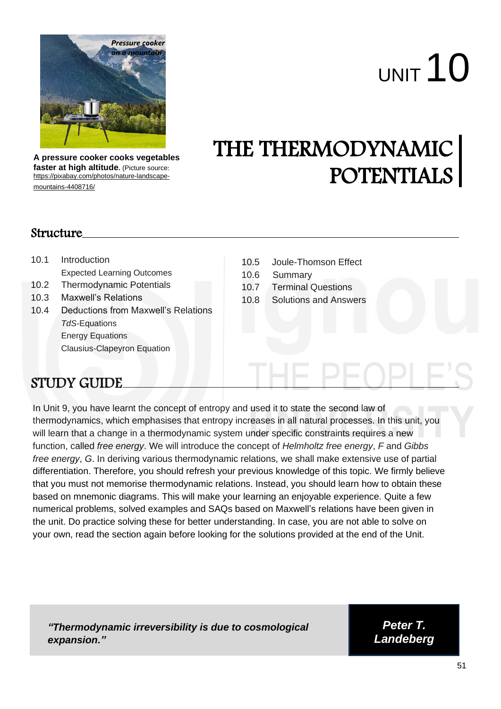

**A pressure cooker cooks vegetables faster at high altitude.** (Picture source: [https://pixabay.com/photos/nature-landscape](https://pixabay.com/photos/nature-landscape-mountains-4408716/)[mountains-4408716/](https://pixabay.com/photos/nature-landscape-mountains-4408716/)

# UNIT 10

## THE THERMODYNAMIC POTENTIALS

#### Structure

- 10.1 Introduction Expected Learning Outcomes 10.2 Thermodynamic Potentials 10.3 Maxwell's Relations 10.4 Deductions from Maxwell's Relations *TdS-*Equations Energy Equations Clausius-Clapeyron Equation
- 10.5 Joule-Thomson Effect
- 10.6 Summary
- 10.7 Terminal Questions
- 10.8 Solutions and Answers

### STUDY GUIDE

In Unit 9, you have learnt the concept of entropy and used it to state the second law of thermodynamics, which emphasises that entropy increases in all natural processes. In this unit, you will learn that a change in a thermodynamic system under specific constraints requires a new function, called *free energy*. We will introduce the concept of *Helmholtz free energy*, *F* and *Gibbs free energy*, *G*. In deriving various thermodynamic relations, we shall make extensive use of partial differentiation. Therefore, you should refresh your previous knowledge of this topic. We firmly believe that you must not memorise thermodynamic relations. Instead, you should learn how to obtain these based on mnemonic diagrams. This will make your learning an enjoyable experience. Quite a few numerical problems, solved examples and SAQs based on Maxwell's relations have been given in the unit. Do practice solving these for better understanding. In case, you are not able to solve on your own, read the section again before looking for the solutions provided at the end of the Unit.

*"Thermodynamic irreversibility is due to cosmological expansion."*

*Peter T. Landeberg*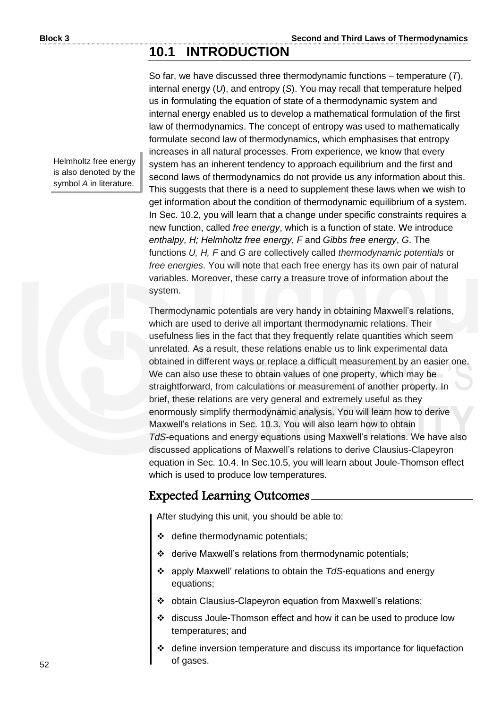#### **10.1 INTRODUCTION**

Helmholtz free energy is also denoted by the symbol A in literature.

So far, we have discussed three thermodynamic functions − temperature (*T*), internal energy (*U*), and entropy (*S*). You may recall that temperature helped us in formulating the equation of state of a thermodynamic system and internal energy enabled us to develop a mathematical formulation of the first law of thermodynamics. The concept of entropy was used to mathematically formulate second law of thermodynamics, which emphasises that entropy increases in all natural processes. From experience, we know that every system has an inherent tendency to approach equilibrium and the first and second laws of thermodynamics do not provide us any information about this. This suggests that there is a need to supplement these laws when we wish to get information about the condition of thermodynamic equilibrium of a system. In Sec. 10.2, you will learn that a change under specific constraints requires a new function, called *free energy*, which is a function of state. We introduce *enthalpy, H; Helmholtz free energy*, *F* and *Gibbs free energy*, *G*. The functions *U, H, F* and *G* are collectively called *thermodynamic potentials* or *free energies*. You will note that each free energy has its own pair of natural variables. Moreover, these carry a treasure trove of information about the system.

Thermodynamic potentials are very handy in obtaining Maxwell's relations, which are used to derive all important thermodynamic relations. Their usefulness lies in the fact that they frequently relate quantities which seem unrelated. As a result, these relations enable us to link experimental data obtained in different ways or replace a difficult measurement by an easier one. We can also use these to obtain values of one property, which may be straightforward, from calculations or measurement of another property. In brief, these relations are very general and extremely useful as they enormously simplify thermodynamic analysis. You will learn how to derive Maxwell's relations in Sec. 10.3. You will also learn how to obtain *TdS*-equations and energy equations using Maxwell's relations. We have also discussed applications of Maxwell's relations to derive Clausius-Clapeyron equation in Sec. 10.4. In Sec.10.5, you will learn about Joule-Thomson effect which is used to produce low temperatures.

#### Expected Learning Outcomes

After studying this unit, you should be able to:

- ❖ define thermodynamic potentials;
- ❖ derive Maxwell's relations from thermodynamic potentials;
- ❖ apply Maxwell' relations to obtain the *TdS-*equations and energy equations;
- ❖ obtain Clausius-Clapeyron equation from Maxwell's relations;
- ❖ discuss Joule-Thomson effect and how it can be used to produce low temperatures; and
- define inversion temperature and discuss its importance for liquefaction of gases.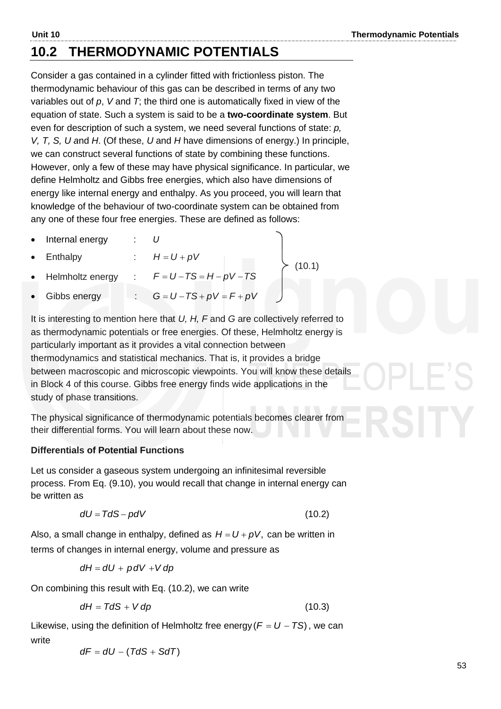#### **10.2 THERMODYNAMIC POTENTIALS**

Consider a gas contained in a cylinder fitted with frictionless piston. The thermodynamic behaviour of this gas can be described in terms of any two variables out of *p*, *V* and *T*; the third one is automatically fixed in view of the equation of state. Such a system is said to be a **two-coordinate system**. But even for description of such a system, we need several functions of state: *p, V, T, S, U a*nd *H*. (Of these, *U* and *H* have dimensions of energy.) In principle, we can construct several functions of state by combining these functions. However, only a few of these may have physical significance. In particular, we define Helmholtz and Gibbs free energies, which also have dimensions of energy like internal energy and enthalpy. As you proceed, you will learn that knowledge of the behaviour of two-coordinate system can be obtained from any one of these four free energies. These are defined as follows:

- Internal energy : *U*
- **Enthalpy**  $H = U + pV$
- Helmholtz energy  $F = U - TS = H - pV - TS$ 
	- Gibbs energy  $G = U - TS + pV = F + pV$

It is interesting to mention here that *U, H, F* and *G* are collectively referred to as thermodynamic potentials or free energies. Of these, Helmholtz energy is particularly important as it provides a vital connection between thermodynamics and statistical mechanics. That is, it provides a bridge between macroscopic and microscopic viewpoints. You will know these details in Block 4 of this course. Gibbs free energy finds wide applications in the study of phase transitions.

(10.1)

The physical significance of thermodynamic potentials becomes clearer from their differential forms. You will learn about these now.

#### **Differentials of Potential Functions**

Let us consider a gaseous system undergoing an infinitesimal reversible process. From Eq. (9.10), you would recall that change in internal energy can be written as

$$
dU = TdS - pdV \tag{10.2}
$$

Also, a small change in enthalpy, defined as  $H = U + pV$ , can be written in terms of changes in internal energy, volume and pressure as

$$
dH = dU + pdV + Vdp
$$

On combining this result with Eq. (10.2), we can write

$$
dH = TdS + Vdp \qquad (10.3)
$$

Likewise, using the definition of Helmholtz free energy ( $F = U - TS$ ), we can write

 $dF = dU - (TdS + SdT)$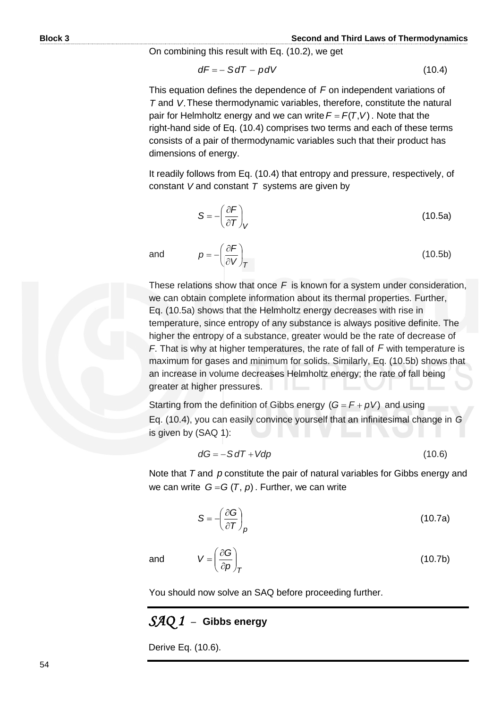#### **Block 3 Second and Third Laws of Thermodynamics**

On combining this result with Eq. (10.2), we get

$$
dF = - SdT - pdV \tag{10.4}
$$

This equation defines the dependence of F on independent variations of *T* and *V*. These thermodynamic variables, therefore, constitute the natural pair for Helmholtz energy and we can write  $F = F(T, V)$ . Note that the right-hand side of Eq. (10.4) comprises two terms and each of these terms consists of a pair of thermodynamic variables such that their product has dimensions of energy.

It readily follows from Eq. (10.4) that entropy and pressure, respectively, of constant *V* and constant *T* systems are given by

$$
S = -\left(\frac{\partial F}{\partial T}\right)_V
$$
 (10.5a)

and

*V <sup>T</sup>*  $p = -\left(\frac{\partial F}{\partial V}\right)$  $\bigg)$  $\left(\frac{\partial F}{\partial V}\right)$  $\overline{\phantom{a}}$ ſ  $\partial$  $=-\left(\frac{\partial F}{\partial V}\right)$  (10.5b)

These relations show that once *F* is known for a system under consideration, we can obtain complete information about its thermal properties. Further, Eq. (10.5a) shows that the Helmholtz energy decreases with rise in temperature, since entropy of any substance is always positive definite. The higher the entropy of a substance, greater would be the rate of decrease of *F*. That is why at higher temperatures, the rate of fall of *F* with temperature is maximum for gases and minimum for solids. Similarly, Eq. (10.5b) shows that an increase in volume decreases Helmholtz energy; the rate of fall being greater at higher pressures.

Starting from the definition of Gibbs energy  $(G = F + pV)$  and using Eq. (10.4), you can easily convince yourself that an infinitesimal change in *G* is given by (SAQ 1):

$$
dG = -S dT + Vdp \tag{10.6}
$$

Note that T and p constitute the pair of natural variables for Gibbs energy and we can write  $G = G(T, p)$ . Further, we can write

$$
S = -\left(\frac{\partial G}{\partial T}\right)_p
$$
 (10.7a)

(10.7b)

and

You should now solve an SAQ before proceeding further.

#### *SAQ 1* –**Gibbs energy**

*T p*

 $\bigg)$  $\setminus$ 

 $V = \left(\frac{\partial G}{\partial n}\right)$ 

 $\overline{\phantom{a}}$  $\overline{\mathcal{L}}$ ſ  $\partial$  $=\left(\frac{\partial}{\partial x}\right)^2$ 

Derive Eq. (10.6).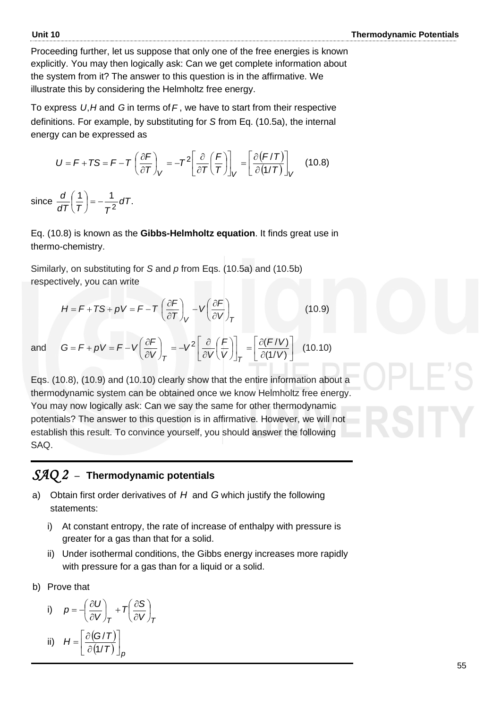Proceeding further, let us suppose that only one of the free energies is known explicitly. You may then logically ask: Can we get complete information about the system from it? The answer to this question is in the affirmative. We illustrate this by considering the Helmholtz free energy.

To express U,H and G in terms of F, we have to start from their respective definitions. For example, by substituting for *S* from Eq. (10.5a), the internal<br>energy can be expressed as<br> $U = F + TS = F - T \left( \frac{\partial F}{\partial T} \right) = -T^2 \left[ \frac{\partial}{\partial T} \left( \frac{F}{T} \right) \right] = \left[ \frac{\partial (F/T)}{\partial (4/T)} \right]$  (10.8) energy can be expressed as

y can be expressed as  
\n
$$
U = F + TS = F - T \left( \frac{\partial F}{\partial T} \right)_V = -T^2 \left[ \frac{\partial}{\partial T} \left( \frac{F}{T} \right) \right]_V = \left[ \frac{\partial (F/T)}{\partial (1/T)} \right]_V \quad (10.8)
$$

since  $\frac{d}{d\tau}\left(\frac{1}{\tau}\right) = -\frac{1}{2}dT$ .  $\frac{1}{2}$ dT *dT*  $(T)$  *T*  $\frac{d}{d\tau}\left(\frac{1}{\tau}\right)=-$ J  $\left(\frac{1}{7}\right)$  $\setminus$ ſ

Eq. (10.8) is known as the **Gibbs-Helmholtz equation**. It finds great use in thermo-chemistry.

Similarly, on substituting for *S* and *p* from Eqs. (10.5a) and (10.5b) respectively, you can write

$$
H = F + TS + \rho V = F - T \left(\frac{\partial F}{\partial T}\right)_V - V \left(\frac{\partial F}{\partial V}\right)_T
$$
 (10.9)

nd 
$$
G = F + pV = F - V \left(\frac{\partial F}{\partial V}\right)_T = -V^2 \left[\frac{\partial}{\partial V} \left(\frac{F}{V}\right)\right]_T = \left[\frac{\partial (F/V)}{\partial (1/V)}\right]
$$
 (10.10)

Eqs. (10.8), (10.9) and (10.10) clearly show that the entire information about a thermodynamic system can be obtained once we know Helmholtz free energy. You may now logically ask: Can we say the same for other thermodynamic potentials? The answer to this question is in affirmative. However, we will not establish this result. To convince yourself, you should answer the following SAQ.

#### *SAQ 2* –**Thermodynamic potentials**

- a) Obtain first order derivatives of  $H$  and  $G$  which justify the following statements:
	- i) At constant entropy, the rate of increase of enthalpy with pressure is greater for a gas than that for a solid.
	- ii) Under isothermal conditions, the Gibbs energy increases more rapidly with pressure for a gas than for a liquid or a solid.
- b) Prove that

a

i) 
$$
p = -\left(\frac{\partial U}{\partial V}\right)_T + T\left(\frac{\partial S}{\partial V}\right)_T
$$
  
ii) 
$$
H = \left[\partial (G/T)\right]
$$

ii) 
$$
H = \left[ \frac{\partial (G/T)}{\partial (1/T)} \right]_P
$$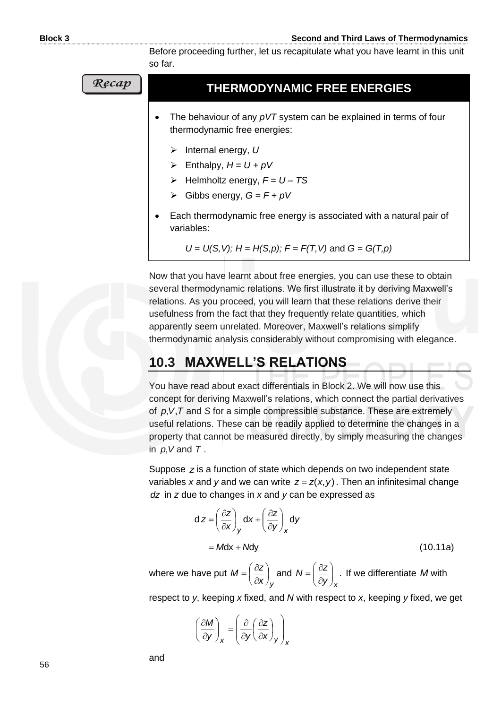Before proceeding further, let us recapitulate what you have learnt in this unit so far.

Recap

#### **THERMODYNAMIC FREE ENERGIES**

- The behaviour of any *pVT* system can be explained in terms of four thermodynamic free energies:
	- ➢ Internal energy, *U*
	- $\triangleright$  Enthalpy,  $H = U + pV$
	- ➢ Helmholtz energy, *F = U – TS*
	- $\triangleright$  Gibbs energy,  $G = F + pV$
- Each thermodynamic free energy is associated with a natural pair of variables:

$$
U = U(S, V); H = H(S,p); F = F(T, V)
$$
 and  $G = G(T,p)$ 

Now that you have learnt about free energies, you can use these to obtain several thermodynamic relations. We first illustrate it by deriving Maxwell's relations. As you proceed, you will learn that these relations derive their usefulness from the fact that they frequently relate quantities, which apparently seem unrelated. Moreover, Maxwell's relations simplify thermodynamic analysis considerably without compromising with elegance.

#### **10.3 MAXWELL'S RELATIONS**

You have read about exact differentials in Block 2. We will now use this concept for deriving Maxwell's relations, which connect the partial derivatives of  $p, V, T$  and *S* for a simple compressible substance. These are extremely useful relations. These can be readily applied to determine the changes in a property that cannot be measured directly, by simply measuring the changes in  $p, V$  and  $T$ .

Suppose z is a function of state which depends on two independent state variables x and y and we can write  $z = z(x, y)$ . Then an infinitesimal change *dz* in *z* due to changes in *x* and *y* can be expressed as

$$
dz = \left(\frac{\partial z}{\partial x}\right)_y dx + \left(\frac{\partial z}{\partial y}\right)_x dy
$$
  
= Mdx + Mdy (10.11a)

where we have put *y x*  $M = \left(\frac{\partial Z}{\partial z}\right)^2$  $\bigg)$  $\left(\frac{\partial z}{\partial z}\right)$  $\overline{\mathcal{L}}$ ſ  $\hat{c}$  $=\left(\frac{\partial z}{\partial x}\right)_V$  and  $N=\left(\frac{\partial z}{\partial y}\right)_X$ . *x*  $N = \frac{\partial z}{\partial x}$ *y* If we differentiate *M* with

respect to *y*, keeping *x* fixed, and *N* with respect to *x*, keeping *y* fixed, we get

$$
\left(\frac{\partial M}{\partial y}\right)_x = \left(\frac{\partial}{\partial y}\left(\frac{\partial z}{\partial x}\right)_y\right)_x
$$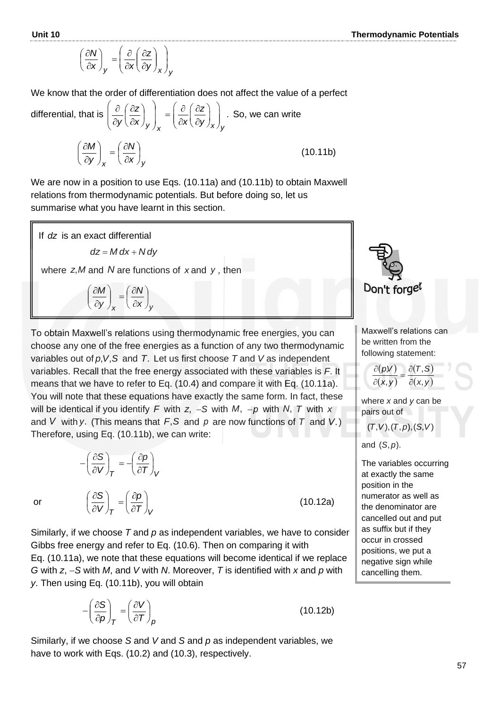$$
\left(\frac{\partial N}{\partial x}\right)_y = \left(\frac{\partial}{\partial x}\left(\frac{\partial z}{\partial y}\right)_x\right)_y
$$

We know that the order of differentiation does not affect the value of a perfect

differential, that is 
$$
\left(\frac{\partial}{\partial y} \left(\frac{\partial z}{\partial x}\right)_y\right)_x = \left(\frac{\partial}{\partial x} \left(\frac{\partial z}{\partial y}\right)_x\right)_y
$$
. So, we can write  

$$
\left(\frac{\partial M}{\partial y}\right)_x = \left(\frac{\partial N}{\partial x}\right)_y
$$
(10.11b)

We are now in a position to use Eqs. (10.11a) and (10.11b) to obtain Maxwell relations from thermodynamic potentials. But before doing so, let us summarise what you have learnt in this section.



To obtain Maxwell's relations using thermodynamic free energies, you can choose any one of the free energies as a function of any two thermodynamic variables out of p, V, S and T. Let us first choose T and V as independent variables. Recall that the free energy associated with these variables is *F*. It means that we have to refer to Eq. (10.4) and compare it with Eq. (10.11a). You will note that these equations have exactly the same form. In fact, these will be identical if you identify *F* with *z*, −*S* with *M*, −*p* with *N*, *T* with *x* and V with y. (This means that  $F$ , S and p are now functions of T and V.) Therefore, using Eq. (10.11b), we can write:

or

$$
-\left(\frac{\partial S}{\partial V}\right)_T = -\left(\frac{\partial p}{\partial T}\right)_V
$$

 $\left(\frac{S}{M}\right) = \left(\frac{\partial p}{\partial T}\right)$ 

 $T$   $(\partial T)_{V}$ *p*

 $\setminus$ ſ

*V*

J  $\left(\frac{\partial S}{\partial V}\right)$ J ſ  $\partial$  $\partial$ 

J

J  $\left(\frac{\partial p}{\partial \boldsymbol{\tau}}\right)$  $\setminus$ ſ  $\partial$  $=\left(\frac{\partial}{\partial x}\right)^2$ 

(10.12a)

Similarly, if we choose *T* and *p* as independent variables, we have to consider Gibbs free energy and refer to Eq. (10.6). Then on comparing it with Eq. (10.11a), we note that these equations will become identical if we replace *G* with *z*, −*S* with *M*, and *V* with *N*. Moreover, *T* is identified with *x* and *p* with *y*. Then using Eq. (10.11b), you will obtain

$$
-\left(\frac{\partial S}{\partial p}\right)_T = \left(\frac{\partial V}{\partial T}\right)_p\tag{10.12b}
$$

Similarly, if we choose *S* and *V* and *S* and *p* as independent variables, we have to work with Eqs. (10.2) and (10.3), respectively.



Maxwell's relations can be written from the following statement:

$$
\frac{\partial (p,V)}{\partial (x,y)} = \frac{\partial (T,S)}{\partial (x,y)}
$$

where *x* and *y* can be pairs out of

 $(T, V), (T, p), (S, V)$ 

and (S, p).

The variables occurring at exactly the same position in the numerator as well as the denominator are cancelled out and put as suffix but if they occur in crossed positions, we put a negative sign while cancelling them.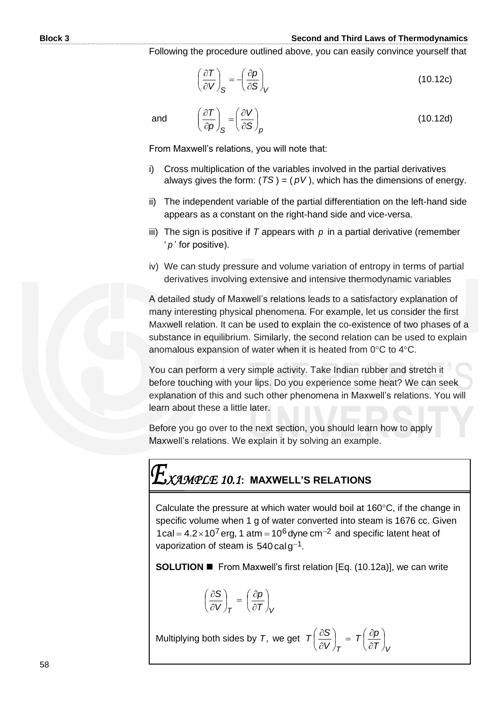#### **Block 3 Second and Third Laws of Thermodynamics**

(10.12d)

Following the procedure outlined above, you can easily convince yourself that

$$
\left(\frac{\partial T}{\partial V}\right)_{S} = -\left(\frac{\partial p}{\partial S}\right)_{V}
$$
\n(10.12c)

and

$$
\left(\frac{\partial V}{\partial S}\right)_{S} = \left(\frac{\partial V}{\partial S}\right)_{P}
$$

From Maxwell's relations, you will note that:

*p*

 $\overline{\phantom{a}}$  $\overline{\mathcal{L}}$ ſ  $\partial$  $\hat{o}$ 

 $\bigg)$  $\left( \right)$ 

- i) Cross multiplication of the variables involved in the partial derivatives always gives the form: (*TS* ) = (  $\rho$ V ), which has the dimensions of energy.
- ii) The independent variable of the partial differentiation on the left-hand side appears as a constant on the right-hand side and vice-versa.
- iii) The sign is positive if T appears with  $p$  in a partial derivative (remember ' *p* ' for positive).
- iv) We can study pressure and volume variation of entropy in terms of partial derivatives involving extensive and intensive thermodynamic variables

A detailed study of Maxwell's relations leads to a satisfactory explanation of many interesting physical phenomena. For example, let us consider the first Maxwell relation. It can be used to explain the co-existence of two phases of a substance in equilibrium. Similarly, the second relation can be used to explain anomalous expansion of water when it is heated from  $0^{\circ}$ C to  $4^{\circ}$ C.

You can perform a very simple activity. Take Indian rubber and stretch it before touching with your lips. Do you experience some heat? We can seek explanation of this and such other phenomena in Maxwell's relations. You will learn about these a little later.

Before you go over to the next section, you should learn how to apply Maxwell's relations. We explain it by solving an example.

## *XAMPLE 10.1***: MAXWELL'S RELATIONS**

Calculate the pressure at which water would boil at  $160^{\circ}$ C, if the change in specific volume when 1 g of water converted into steam is 1676 cc. Given  $1$ cal = 4.2×10<sup>7</sup> erg, 1 atm = 10<sup>6</sup> dyne cm<sup>-2</sup> and specific latent heat of vaporization of steam is 540  $\rm{cal \, g^{-1}}.$ 

**SOLUTION ■** From Maxwell's first relation [Eq. (10.12a)], we can write

 $\big)$ 

 $\hat{c}$ 

$$
\left(\frac{\partial S}{\partial V}\right)_T = \left(\frac{\partial \rho}{\partial T}\right)_V
$$

Multiplying both sides by *T*, we get  $\sigma$   $(\partial T)$ <sub>V</sub>  $T\left(\frac{\partial p}{\partial t}\right)$ *V*  $T\left(\frac{\partial S}{\partial V}\right) = T\left(\frac{\partial p}{\partial T}\right)$  $\left(\frac{\partial p}{\partial \bm{\tau}}\right)$  $\setminus$ ſ  $\Big) = T \Big( \frac{\partial}{\partial \theta}$  $\big)$  $\left(\frac{\partial S}{\partial U}\right)$  $\setminus$ ſ  $\partial$  $\hat{o}$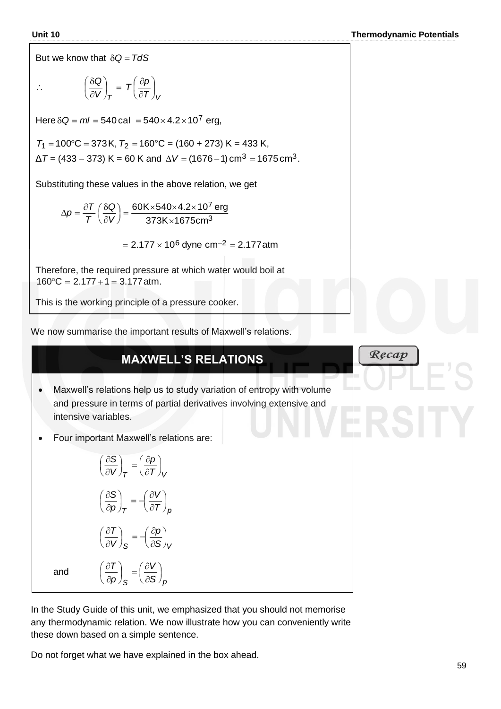But we know that  $\delta Q = T dS$ 

$$
\therefore \qquad \left(\frac{\delta Q}{\partial V}\right)_T = T \left(\frac{\partial p}{\partial T}\right)_V
$$

 $Here \delta Q = ml = 540 \text{ cal } = 540 \times 4.2 \times 10^7 \text{ erg},$ 

$$
T_1 = 100
$$
°C = 373K,  $T_2 = 160$ °C = (160 + 273) K = 433 K,  
\n $\Delta T = (433 - 373)$  K = 60 K and  $\Delta V = (1676 - 1)$  cm<sup>3</sup> = 1675 cm<sup>3</sup>.

Substituting these values in the above relation, we get

$$
\Delta p = \frac{\partial T}{T} \left( \frac{\delta Q}{\partial V} \right) = \frac{60K \times 540 \times 4.2 \times 10^7 \text{ erg}}{373K \times 1675 \text{ cm}^3}
$$

 $= 2.177 \times 10^6$  dyne cm $^{-2}$  = 2.177atm

Therefore, the required pressure at which water would boil at  $160^{\circ}$ C = 2.177 + 1 = 3.177 atm.

This is the working principle of a pressure cooker.

We now summarise the important results of Maxwell's relations.

#### **MAXWELL'S RELATIONS**

- Maxwell's relations help us to study variation of entropy with volume and pressure in terms of partial derivatives involving extensive and intensive variables.
- Four important Maxwell's relations are:

$$
\left(\frac{\partial S}{\partial V}\right)_T = \left(\frac{\partial p}{\partial T}\right)_V
$$

$$
\left(\frac{\partial S}{\partial p}\right)_T = -\left(\frac{\partial V}{\partial T}\right)_p
$$

$$
\left(\frac{\partial T}{\partial V}\right)_S = -\left(\frac{\partial p}{\partial S}\right)_V
$$

$$
\left(\frac{\partial T}{\partial p}\right)_S = \left(\frac{\partial V}{\partial S}\right)_p
$$

*p*

 $\partial$ 

L

J

and

In the Study Guide of this unit, we emphasized that you should not memorise any thermodynamic relation. We now illustrate how you can conveniently write these down based on a simple sentence.

Do not forget what we have explained in the box ahead.

*<sup>S</sup> S <sup>p</sup>*

 $\partial$ 

 $\int$ 

### Recap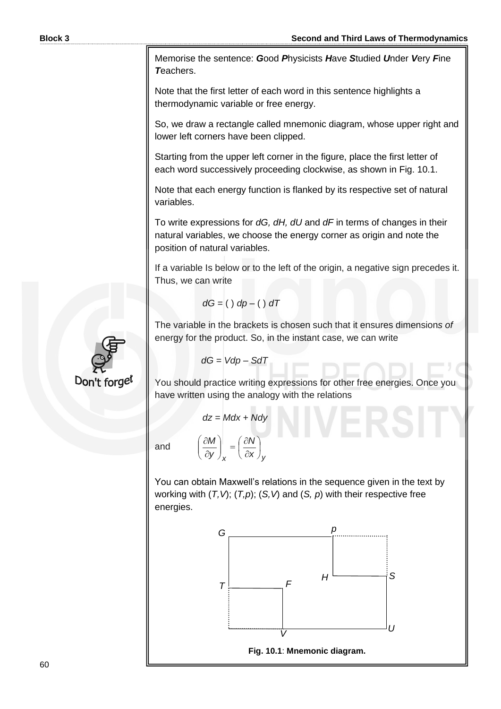Memorise the sentence: *G*ood *P*hysicists *H*ave *S*tudied *U*nder *V*ery *F*ine *T*eachers.

Note that the first letter of each word in this sentence highlights a thermodynamic variable or free energy.

So, we draw a rectangle called mnemonic diagram, whose upper right and lower left corners have been clipped.

Starting from the upper left corner in the figure, place the first letter of each word successively proceeding clockwise, as shown in Fig. 10.1.

Note that each energy function is flanked by its respective set of natural variables.

To write expressions for *dG, dH, dU* and *dF* in terms of changes in their natural variables, we choose the energy corner as origin and note the position of natural variables.

If a variable Is below or to the left of the origin, a negative sign precedes it. Thus, we can write

$$
dG = ( ) dp - ( ) dT
$$

The variable in the brackets is chosen such that it ensures dimension*s of*  energy for the product. So, in the instant case, we can write

$$
dG = Vdp - SdT
$$

You should practice writing expressions for other free energies. Once you have written using the analogy with the relations

$$
dz = Mdx + Ndy
$$

*y x N* J  $\left(\frac{\partial N}{\partial n}\right)$  $\setminus$ ſ  $\partial$  $\hat{o}$ 

J  $\setminus$ 

*x y M*

 $\overline{\phantom{a}}$  $\setminus$ ſ  $\partial$  $\partial$ 

and  $\left|\frac{\partial W}{\partial v}\right| =$ 

You can obtain Maxwell's relations in the sequence given in the text by working with (*T,V*); (*T,p*); (*S,V*) and (*S, p*) with their respective free energies.



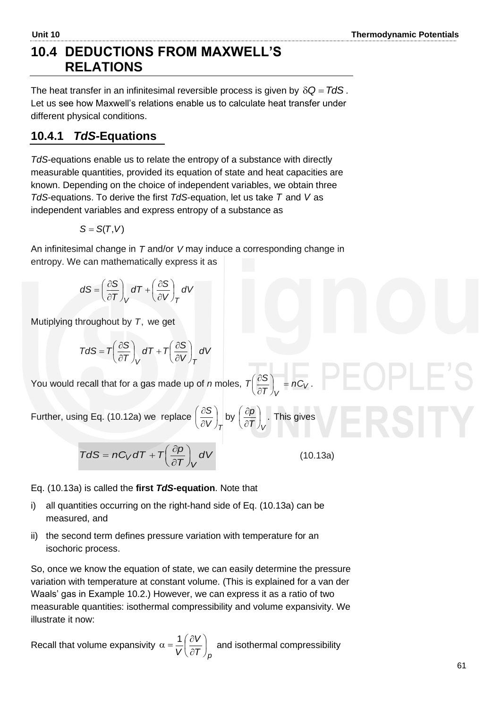#### **10.4 DEDUCTIONS FROM MAXWELL'S RELATIONS**

The heat transfer in an infinitesimal reversible process is given by  $\delta Q = TdS$  *.* Let us see how Maxwell's relations enable us to calculate heat transfer under different physical conditions.

#### **10.4.1** *TdS-***Equations**

*TdS*-equations enable us to relate the entropy of a substance with directly measurable quantities, provided its equation of state and heat capacities are known. Depending on the choice of independent variables, we obtain three *TdS*-equations. To derive the first *TdS*-equation, let us take *T* and *V* as independent variables and express entropy of a substance as

$$
S=S(T,V)
$$

An infinitesimal change in T and/or V may induce a corresponding change in entropy. We can mathematically express it as

$$
dS = \left(\frac{\partial S}{\partial T}\right)_V dT + \left(\frac{\partial S}{\partial V}\right)_T dV
$$

Mutiplying throughout by *T*, we get

$$
TdS = T\left(\frac{\partial S}{\partial T}\right)_V dT + T\left(\frac{\partial S}{\partial V}\right)_T dV
$$

You would recall that for a gas made up of *n* moles,  $T\left|\frac{\partial Q}{\partial T}\right| = nC_V$ *V nC T*  $T\left(\frac{\partial S}{\partial T}\right)_V =$  $\left(\frac{\partial \mathcal{S}}{\partial \mathcal{T}}\right)$  $\big($  $\hat{o}$  $\left(\frac{\partial S}{\partial \boldsymbol{\tau}}\right)^n = nC_V$ .

Further, using Eq. (10.12a) we replace  $V$ <sub>*T*</sub>  $\frac{S}{V}$ J  $\left(\frac{\partial S}{\partial V}\right)$  $\overline{\phantom{0}}$ ſ  $\partial$  $\left(\frac{\partial S}{\partial V}\right)$  by  $\left(\frac{\partial p}{\partial \overline{r}}\right)$ .  $\left(\frac{\partial p}{\partial \tau}\right)$  $\setminus$ ſ  $\partial$  $\left(\frac{\partial p}{\partial \boldsymbol{\tau}}\right)^n$  . This gives

$$
TdS = nC_VdT + T\left(\frac{\partial p}{\partial T}\right)_V dV
$$

 $\mathcal{I}$   $\mathcal{J}_\mathcal{V}$ *p*<sup>)</sup> J

(10.13a)

Eq. (10.13a) is called the **first** *TdS-***equation**. Note that

- i) all quantities occurring on the right-hand side of Eq. (10.13a) can be measured, and
- ii) the second term defines pressure variation with temperature for an isochoric process.

So, once we know the equation of state, we can easily determine the pressure variation with temperature at constant volume. (This is explained for a van der Waals' gas in Example 10.2.) However, we can express it as a ratio of two measurable quantities: isothermal compressibility and volume expansivity. We illustrate it now:

Recall that volume expansivity  $\left( \tau \right) _{p}$ *V V*  $\overline{\phantom{a}}$ J  $\left(\frac{\partial V}{\partial \bm{F}}\right)$ J ſ  $\partial$  $\alpha = \frac{1}{n} \left( \frac{\partial V}{\partial \tau} \right)$  and isothermal compressibility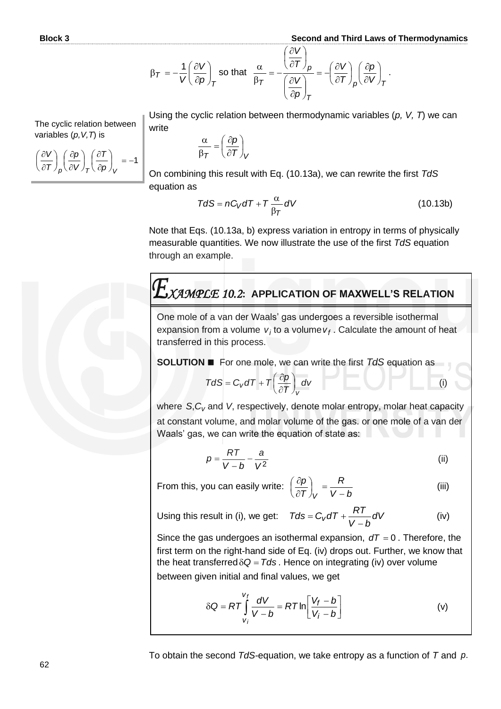$$
\beta_T = -\frac{1}{V} \left( \frac{\partial V}{\partial p} \right)_T \text{ so that } \frac{\alpha}{\beta_T} = -\frac{\left( \frac{\partial V}{\partial T} \right)_p}{\left( \frac{\partial V}{\partial p} \right)_T} = -\left( \frac{\partial V}{\partial T} \right)_p \left( \frac{\partial p}{\partial V} \right)_T.
$$

Using the cyclic relation between thermodynamic variables (*p, V, T*) we can write

$$
\left(\frac{\partial V}{\partial T}\right)_p \left(\frac{\partial p}{\partial V}\right)_T \left(\frac{\partial T}{\partial p}\right)_V = -1
$$

The cyclic relation between

variables (*p,V,T*) is

l  $\setminus$ ſ

$$
\frac{\alpha}{\beta \tau} = \left(\frac{\partial p}{\partial T}\right)_V
$$

On combining this result with Eq. (10.13a), we can rewrite the first *TdS* equation as

$$
TdS = nC_V dT + T \frac{\alpha}{\beta_T} dV
$$
 (10.13b)

Note that Eqs. (10.13a, b) express variation in entropy in terms of physically measurable quantities. We now illustrate the use of the first *TdS* equation through an example.

## *XAMPLE 10.2***: APPLICATION OF MAXWELL'S RELATION**

One mole of a van der Waals' gas undergoes a reversible isothermal expansion from a volume  $v_j$  to a volume  $v_f$  . Calculate the amount of heat transferred in this process.

**SOLUTION** ◼ For one mole, we can write the first *TdS* equation as

$$
T dS = C_V dT + T \left(\frac{\partial p}{\partial T}\right)_V dv
$$

where S,C<sub>v</sub> and V, respectively, denote molar entropy, molar heat capacity at constant volume, and molar volume of the gas. or one mole of a van der Waals' gas, we can write the equation of state as:

$$
p = \frac{RT}{V - b} - \frac{a}{V^2}
$$
 (ii)

*<sup>V</sup>* −  $\int_V$ 

*bV R*

From this, you can easily write:  $\left(\frac{\partial \bm{\rho}}{\partial \bm{\mathcal{T}}}\right)$ ſ

(iii)

(i)

Using this result in (i), we get: 
$$
Tds = C_V dT + \frac{RT}{V-b} dV
$$
 (iv)

*T p*

 $\hat{o}$  $\partial$ 

Since the gas undergoes an isothermal expansion,  $dT = 0$ . Therefore, the first term on the right-hand side of Eq. (iv) drops out. Further, we know that the heat transferred  $\delta Q = Tds$ . Hence on integrating (iv) over volume between given initial and final values, we get

$$
\delta Q = RT \int_{V_i}^{V_f} \frac{dV}{V - b} = RT \ln \left[ \frac{V_f - b}{V_i - b} \right]
$$
 (v)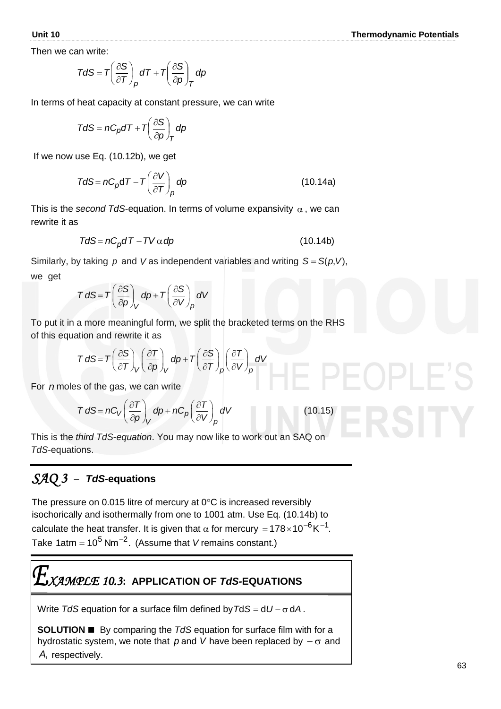Then we can write:

$$
TdS = T\left(\frac{\partial S}{\partial T}\right)_p dT + T\left(\frac{\partial S}{\partial p}\right)_T dp
$$

In terms of heat capacity at constant pressure, we can write

$$
TdS = nC_p dT + T\left(\frac{\partial S}{\partial p}\right)_T dp
$$

If we now use Eq. (10.12b), we get

$$
TdS = nC_p dT - T\left(\frac{\partial V}{\partial T}\right)_p dp
$$
 (10.14a)

This is the *second TdS*-equation. In terms of volume expansivity  $\alpha$  , we can rewrite it as

$$
TdS = nC_p dT - TV \alpha dp \qquad (10.14b)
$$

Similarly, by taking  $\rho$  and V as independent variables and writing  $S = S(\rho, V)$ , we get

$$
T dS = T \left( \frac{\partial S}{\partial p} \right)_V dp + T \left( \frac{\partial S}{\partial V} \right)_p dV
$$

To put it in a more meaningful form, we split the bracketed terms on the RHS of this equation and rewrite it as

ation and rewrite it as  
\n
$$
T dS = T \left(\frac{\partial S}{\partial T}\right)_V \left(\frac{\partial T}{\partial p}\right)_V dp + T \left(\frac{\partial S}{\partial T}\right)_p \left(\frac{\partial T}{\partial V}\right)_p dV
$$

For *n* moles of the gas, we can write

$$
T dS = nC_V \left(\frac{\partial T}{\partial p}\right)_V dp + nC_p \left(\frac{\partial T}{\partial V}\right)_p dV
$$

This is the *third TdS*-*equation*. You may now like to work out an SAQ on *TdS*-equations.

#### *SAQ 3* – *TdS***-equations**

The pressure on 0.015 litre of mercury at  $0^{\circ}$ C is increased reversibly isochorically and isothermally from one to 1001 atm. Use Eq. (10.14b) to calculate the heat transfer. It is given that  $\alpha$  for mercury = 178 $\times$ 10 $^{-6}$ K $^{-1}$ . Take 1atm =  $10^5$  Nm<sup>-2</sup>. (Assume that *V* remains constant.)

$$
E_{\text{XAMPLE 10.3: APPLICATION OF TdS-EQUATIONS}}
$$

Write  $TdS$  equation for a surface film defined by  $TdS = dU - \sigma dA$ .

**SOLUTION** ◼ By comparing the *TdS* equation for surface film with for a hydrostatic system, we note that  $p$  and V have been replaced by  $-\sigma$  and *A*, respectively.

$$
(10.15)
$$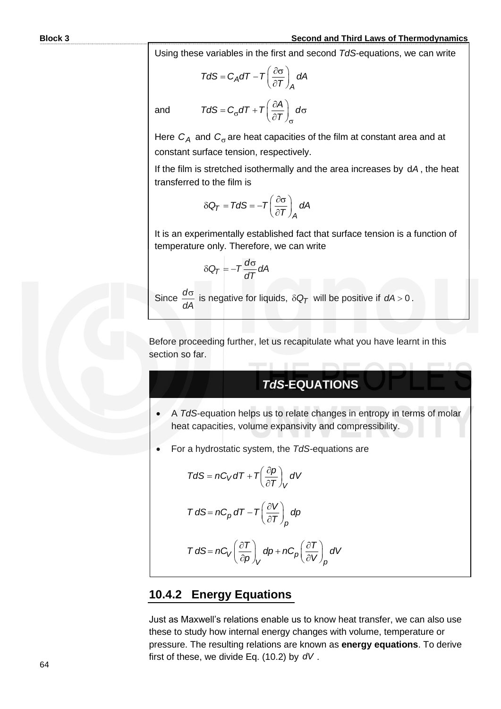#### **Block 3 Second and Third Laws of Thermodynamics**

Using these variables in the first and second *TdS-*equations, we can write

$$
TdS = C_A dT - T \left(\frac{\partial \sigma}{\partial T}\right)_A dA
$$

 $TdS = C_{\sigma} dT + T \left(\frac{\partial A}{\partial T}\right)_{\sigma} d\sigma$ 

 $\sigma$ 

and

Here  $C_A$  and  $C_{\sigma}$  are heat capacities of the film at constant area and at constant surface tension, respectively.

 $\sigma$ 

If the film is stretched isothermally and the area increases by d*A* , the heat transferred to the film is

$$
\delta Q_T = T dS = -T \left( \frac{\partial \sigma}{\partial T} \right)_A dA
$$

It is an experimentally established fact that surface tension is a function of temperature only. Therefore, we can write

$$
\delta Q_T = -T \frac{d\sigma}{dT} dA
$$

Since  $\frac{d\sigma}{dt}$ *dA* is negative for liquids,  $\delta Q_T$  will be positive if  $dA > 0$ .

Before proceeding further, let us recapitulate what you have learnt in this section so far.

#### *TdS-***EQUATIONS**

- A *TdS*-equation helps us to relate changes in entropy in terms of molar heat capacities, volume expansivity and compressibility.
- For a hydrostatic system, the *TdS-*equations are

$$
TdS = nC_V dT + T\left(\frac{\partial p}{\partial T}\right)_V dV
$$

$$
T dS = nC_p dT - T \left(\frac{\partial V}{\partial T}\right)_p dp
$$

$$
T dS = nC_V \left(\frac{\partial T}{\partial p}\right)_V dp + nC_p \left(\frac{\partial T}{\partial V}\right)_p dV
$$

#### **10.4.2 Energy Equations**

Just as Maxwell's relations enable us to know heat transfer, we can also use these to study how internal energy changes with volume, temperature or pressure. The resulting relations are known as **energy equations**. To derive first of these, we divide Eq. (10.2) by *dV .*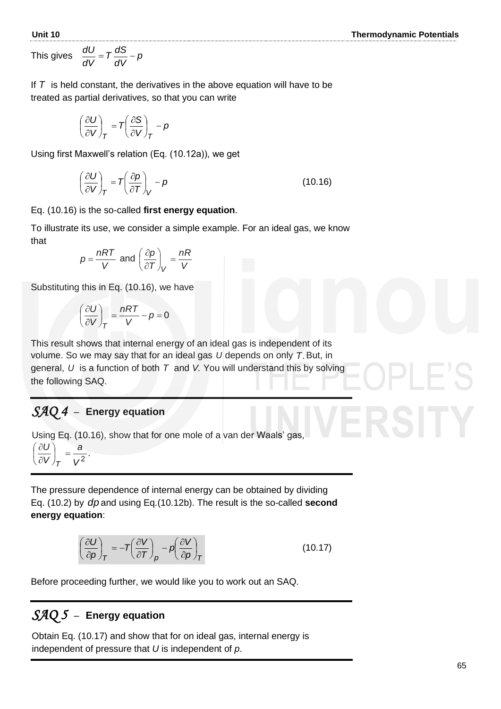This gives *p*

gives 
$$
\frac{dU}{dV} = T \frac{dS}{dV}
$$

If *T* is held constant, the derivatives in the above equation will have to be treated as partial derivatives, so that you can write

$$
\left(\frac{\partial U}{\partial V}\right)_T = T\left(\frac{\partial S}{\partial V}\right)_T - p
$$

Using first Maxwell's relation (Eq. (10.12a)), we get

 $-p$ 

$$
\left(\frac{\partial U}{\partial V}\right)_T = T\left(\frac{\partial p}{\partial T}\right)_V - p \tag{10.16}
$$

Eq. (10.16) is the so-called **first energy equation**.

To illustrate its use, we consider a simple example. For an ideal gas, we know that

$$
p = \frac{nRT}{V} \text{ and } \left(\frac{\partial p}{\partial T}\right)_V = \frac{nR}{V}
$$

Substituting this in Eq. (10.16), we have

$$
\left(\frac{\partial U}{\partial V}\right)_T = \frac{nRT}{V} - p = 0
$$

This result shows that internal energy of an ideal gas is independent of its volume. So we may say that for an ideal gas *U* depends on only *T*. But, in general, *U* is a function of both *T* and *V.* You will understand this by solving the following SAQ.

#### *SAQ 4* –**Energy equation**

.

Using Eq. (10.16), show that for one mole of a van der Waals' gas,

$$
\left(\frac{\partial U}{\partial V}\right)_T = \frac{a}{V^2}
$$

The pressure dependence of internal energy can be obtained by dividing Eq. (10.2) by *dp* and using Eq.(10.12b). The result is the so-called **second energy equation**:

$$
\left(\frac{\partial U}{\partial \rho}\right)_T = -T\left(\frac{\partial V}{\partial T}\right)_P - \rho \left(\frac{\partial V}{\partial \rho}\right)_T
$$
\n(10.17)

Before proceeding further, we would like you to work out an SAQ.

#### *SAQ 5* –**Energy equation**

 Obtain Eq. (10.17) and show that for on ideal gas, internal energy is  independent of pressure that *U* is independent of *p*.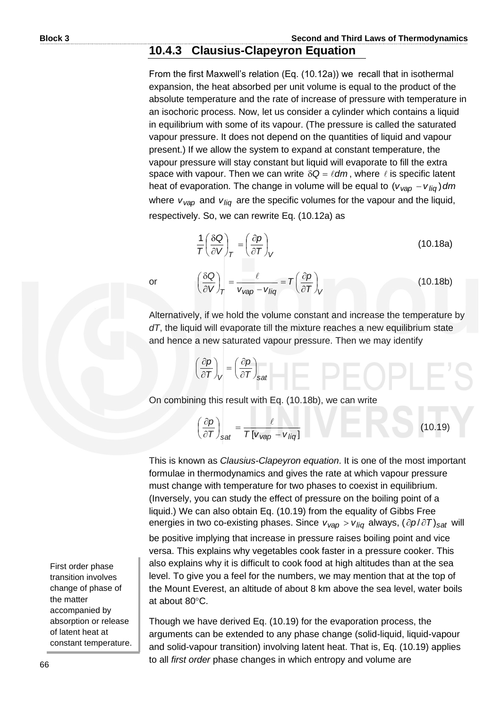#### **10.4.3 Clausius-Clapeyron Equation**

From the first Maxwell's relation (Eq. (10.12a)) we recall that in isothermal expansion, the heat absorbed per unit volume is equal to the product of the absolute temperature and the rate of increase of pressure with temperature in an isochoric process. Now, let us consider a cylinder which contains a liquid in equilibrium with some of its vapour. (The pressure is called the saturated vapour pressure. It does not depend on the quantities of liquid and vapour present.) If we allow the system to expand at constant temperature, the vapour pressure will stay constant but liquid will evaporate to fill the extra space with vapour. Then we can write  $\delta Q = \ell dm$ , where  $\ell$  is specific latent heat of evaporation. The change in volume will be equal to (*v<sub>∨ap</sub>* − *v<sub>liq</sub>*)dm where  $v_{vap}$  and  $v_{liq}$  are the specific volumes for the vapour and the liquid, respectively. So, we can rewrite Eq. (10.12a) as

$$
\frac{1}{T} \left( \frac{\delta Q}{\partial V} \right)_T = \left( \frac{\partial p}{\partial T} \right)_V
$$
\n(10.18a)

(10.18b)

or

Alternatively, if we hold the volume constant and increase the temperature by *dT*, the liquid will evaporate till the mixture reaches a new equilibrium state and hence a new saturated vapour pressure. Then we may identify

 $\int$  $\left(\frac{\partial \rho}{\partial T}\right)$ ſ  $\hat{o}$  $= T \left( \frac{\partial}{\partial \theta} \right)$ 

 $T\left(\frac{\partial p}{\partial \overline{r}}\right)$ 

$$
\left(\frac{\partial p}{\partial T}\right)_V = \left(\frac{\partial p}{\partial T}\right)_{\text{sat}}
$$

On combining this result with Eq. (10.18b), we can write

 $V_{Vap} - V_{liq}$   $(\partial T)_{V}$ 

 $V/T$   $V_{Vap} - V$ 

 $\delta Q$   $\ell$ 

 $\int_T = \frac{1}{v_{vap} - v}$ 

*Q*

 $\left(\frac{\delta Q}{\partial V}\right)$ ſ  $\widehat{o}$ 

$$
\left(\frac{\partial p}{\partial T}\right)_{\text{sat}} = \frac{\ell}{T[v_{\text{vap}} - v_{\text{liq}}]}
$$
(10.19)

This is known as *Clausius-Clapeyron equation*. It is one of the most important formulae in thermodynamics and gives the rate at which vapour pressure must change with temperature for two phases to coexist in equilibrium. (Inversely, you can study the effect of pressure on the boiling point of a liquid.) We can also obtain Eq. (10.19) from the equality of Gibbs Free energies in two co-existing phases. Since  $v_{vap} > v_{liq}$  always, ( $\partial p / \partial T$ )<sub>sat</sub> will

be positive implying that increase in pressure raises boiling point and vice versa. This explains why vegetables cook faster in a pressure cooker. This also explains why it is difficult to cook food at high altitudes than at the sea level. To give you a feel for the numbers, we may mention that at the top of the Mount Everest, an altitude of about 8 km above the sea level, water boils at about  $80^{\circ}$ C.

Though we have derived Eq. (10.19) for the evaporation process, the arguments can be extended to any phase change (solid-liquid, liquid-vapour and solid-vapour transition) involving latent heat. That is, Eq. (10.19) applies to all *first order* phase changes in which entropy and volume are

First order phase transition involves change of phase of the matter accompanied by absorption or release of latent heat at constant temperature.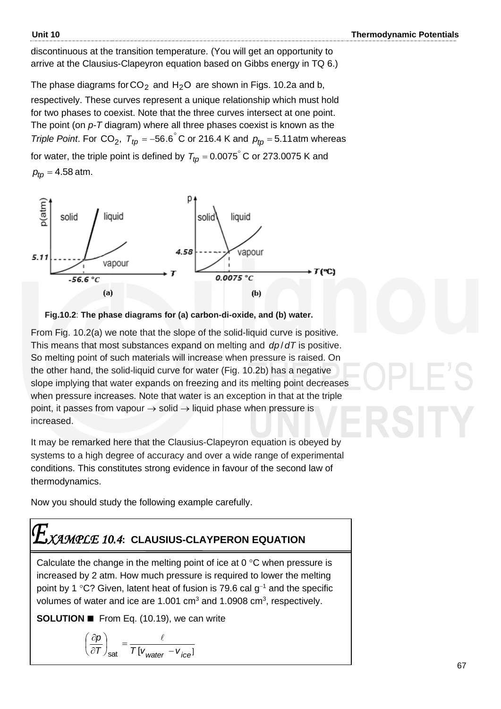discontinuous at the transition temperature. (You will get an opportunity to arrive at the Clausius-Clapeyron equation based on Gibbs energy in TQ 6.)

The phase diagrams for CO<sub>2</sub> and H<sub>2</sub>O are shown in Figs. 10.2a and b, respectively. These curves represent a unique relationship which must hold for two phases to coexist. Note that the three curves intersect at one point. The point (on *p-T* diagram) where all three phases coexist is known as the *Triple Point.* For CO<sub>2</sub>,  $T_{tp} = -56.6^{\circ}$  C or 216.4 K and  $p_{tp} = 5.11$  atm whereas for water, the triple point is defined by  $\,_{tp}$  = 0.0075 $\degree$  C or 273.0075 K and *ptp* = 4.58 atm.





From Fig. 10.2(a) we note that the slope of the solid-liquid curve is positive. This means that most substances expand on melting and dp/dT is positive. So melting point of such materials will increase when pressure is raised. On the other hand, the solid-liquid curve for water (Fig. 10.2b) has a negative slope implying that water expands on freezing and its melting point decreases when pressure increases. Note that water is an exception in that at the triple point, it passes from vapour  $\rightarrow$  solid  $\rightarrow$  liquid phase when pressure is increased.

It may be remarked here that the Clausius-Clapeyron equation is obeyed by systems to a high degree of accuracy and over a wide range of experimental conditions. This constitutes strong evidence in favour of the second law of thermodynamics.

Now you should study the following example carefully.

### *XAMPLE 10.4***: CLAUSIUS-CLAYPERON EQUATION**

Calculate the change in the melting point of ice at  $0^{\circ}$ C when pressure is increased by 2 atm. How much pressure is required to lower the melting point by 1 °C? Given, latent heat of fusion is 79.6 cal g<sup>-1</sup> and the specific volumes of water and ice are 1.001 cm<sup>3</sup> and 1.0908 cm<sup>3</sup>, respectively.

**SOLUTION** ◼ From Eq. (10.19), we can write

$$
\left(\frac{\partial \rho}{\partial \tau}\right)_{\text{sat}} = \frac{\ell}{\tau \left[v_{\text{water}} - v_{\text{ice}}\right]}
$$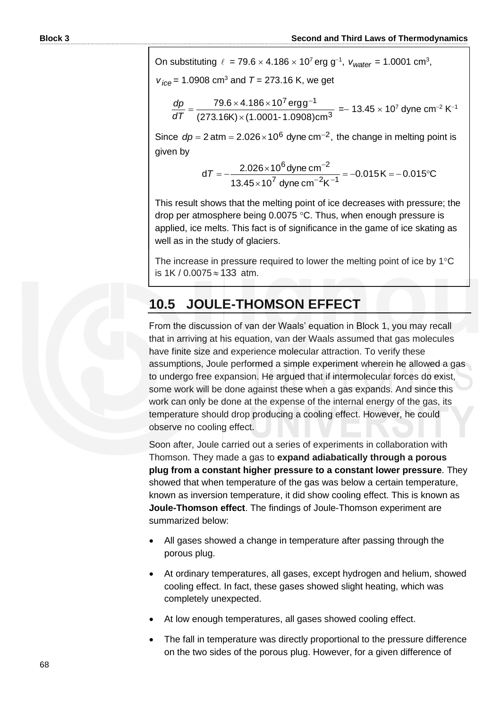On substituting  $\ell = 79.6 \times 4.186 \times 10^7$  erg g<sup>-1</sup>,  $v_{water} = 1.0001$  cm<sup>3</sup>,

 $v_{ice}$  = 1.0908 cm<sup>3</sup> and *T* = 273.16 K, we get

$$
\frac{dp}{dT} = \frac{79.6 \times 4.186 \times 10^{7} \text{ ergg}^{-1}}{(273.16 \text{K}) \times (1.0001 - 1.0908) \text{cm}^{-3}} = -13.45 \times 10^{7} \text{ dyne cm}^{-2} \text{ K}^{-1}
$$

Since  $dp = 2$  atm =  $2.026 \times 10^6$  dyne cm<sup>-2</sup>, the change in melting point is given by

$$
dT = -\frac{2.026 \times 10^6 \text{ dyne cm}^{-2}}{13.45 \times 10^7 \text{ dyne cm}^{-2} \text{K}^{-1}} = -0.015 \text{K} = -0.015^{\circ} \text{C}
$$

This result shows that the melting point of ice decreases with pressure; the drop per atmosphere being  $0.0075$  °C. Thus, when enough pressure is applied, ice melts. This fact is of significance in the game of ice skating as well as in the study of glaciers.

The increase in pressure required to lower the melting point of ice by  $1^{\circ}C$ is 1K / 0.0075 ≈ 133 atm.

### **10.5 JOULE-THOMSON EFFECT**

From the discussion of van der Waals' equation in Block 1, you may recall that in arriving at his equation, van der Waals assumed that gas molecules have finite size and experience molecular attraction. To verify these assumptions, Joule performed a simple experiment wherein he allowed a gas to undergo free expansion. He argued that if intermolecular forces do exist, some work will be done against these when a gas expands. And since this work can only be done at the expense of the internal energy of the gas, its temperature should drop producing a cooling effect. However, he could observe no cooling effect.

Soon after, Joule carried out a series of experiments in collaboration with Thomson. They made a gas to **expand adiabatically through a porous plug from a constant higher pressure to a constant lower pressure**. They showed that when temperature of the gas was below a certain temperature, known as inversion temperature, it did show cooling effect. This is known as **Joule-Thomson effect**. The findings of Joule-Thomson experiment are summarized below:

- All gases showed a change in temperature after passing through the porous plug.
- At ordinary temperatures, all gases, except hydrogen and helium, showed cooling effect. In fact, these gases showed slight heating, which was completely unexpected.
- At low enough temperatures, all gases showed cooling effect.
- The fall in temperature was directly proportional to the pressure difference on the two sides of the porous plug. However, for a given difference of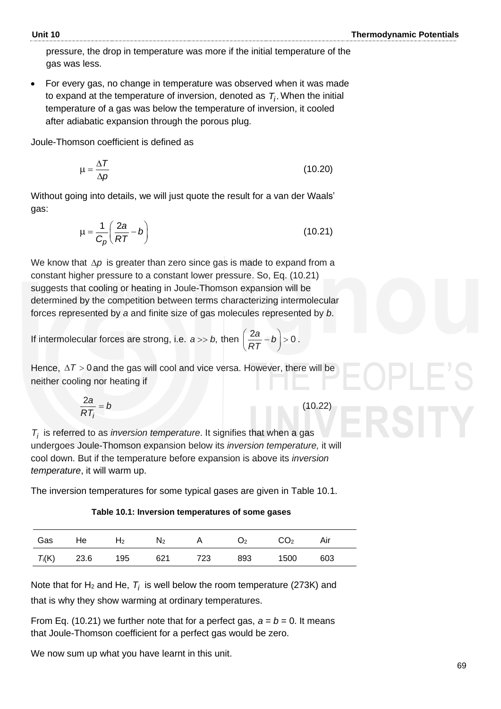pressure, the drop in temperature was more if the initial temperature of the gas was less.

• For every gas, no change in temperature was observed when it was made to expand at the temperature of inversion, denoted as  $\,mathcal{T}_i$ . When the initial temperature of a gas was below the temperature of inversion, it cooled after adiabatic expansion through the porous plug.

Joule-Thomson coefficient is defined as

$$
\mu = \frac{\Delta T}{\Delta p} \tag{10.20}
$$

Without going into details, we will just quote the result for a van der Waals' gas:

$$
\mu = \frac{1}{C_p} \left( \frac{2a}{RT} - b \right) \tag{10.21}
$$

We know that  $\Delta p$  is greater than zero since gas is made to expand from a constant higher pressure to a constant lower pressure. So, Eq. (10.21) suggests that cooling or heating in Joule-Thomson expansion will be determined by the competition between terms characterizing intermolecular forces represented by *a* and finite size of gas molecules represented by *b*.

If intermolecular forces are strong, i.e.  $a \gg b$ , then  $\left(\frac{2a}{RT} - b\right) > 0$ *RT* .

Hence,  $\Delta T > 0$  and the gas will cool and vice versa. However, there will be neither cooling nor heating if

$$
\frac{2a}{RT_i} = b \tag{10.22}
$$

*Ti* is referred to as *inversion temperature*. It signifies that when a gas undergoes Joule-Thomson expansion below its *inversion temperature,* it will cool down. But if the temperature before expansion is above its *inversion temperature*, it will warm up.

The inversion temperatures for some typical gases are given in Table 10.1.

**Table 10.1: Inversion temperatures of some gases**

| Gas | He                | $H_2$ |         | $N_2$ A $O_2$ |     | CO <sub>2</sub> | Air |  |
|-----|-------------------|-------|---------|---------------|-----|-----------------|-----|--|
|     | $T_i(K)$ 23.6 195 |       | 621 723 |               | 893 | 1500            | 603 |  |

Note that for H<sub>2</sub> and He,  $T_i$  is well below the room temperature (273K) and that is why they show warming at ordinary temperatures.

From Eq. (10.21) we further note that for a perfect gas,  $a = b = 0$ . It means that Joule-Thomson coefficient for a perfect gas would be zero.

We now sum up what you have learnt in this unit.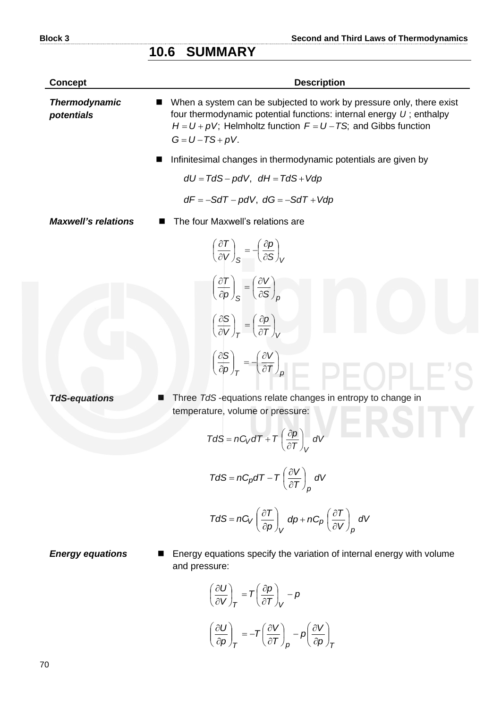#### **10.6 SUMMARY**

| <b>Concept</b>                     | <b>Description</b>                                                                                                                                                                                                                           |
|------------------------------------|----------------------------------------------------------------------------------------------------------------------------------------------------------------------------------------------------------------------------------------------|
| <b>Thermodynamic</b><br>potentials | When a system can be subjected to work by pressure only, there exist<br>four thermodynamic potential functions: internal energy $U$ ; enthalpy<br>$H = U + pV$ ; Helmholtz function $F = U - TS$ ; and Gibbs function<br>$G = U - TS + pV$ . |
|                                    | Infinitesimal changes in thermodynamic potentials are given by                                                                                                                                                                               |
|                                    | $dU = TdS - pdV$ , $dH = TdS + Vdp$                                                                                                                                                                                                          |
|                                    | $dF = -SdT - pdV$ , $dG = -SdT + Vdp$                                                                                                                                                                                                        |
| <b>Maxwell's relations</b>         | The four Maxwell's relations are                                                                                                                                                                                                             |
|                                    | $\left(\frac{\partial T}{\partial V}\right)_{S} = -\left(\frac{\partial p}{\partial S}\right)_{V}$                                                                                                                                           |
|                                    | $\left(\frac{\partial T}{\partial p}\right)_{S} = \left(\frac{\partial V}{\partial S}\right)_{R}$                                                                                                                                            |
|                                    | $\left(\frac{\partial S}{\partial V}\right)_T = \left(\frac{\partial p}{\partial T}\right)_V$                                                                                                                                                |
|                                    | $\left(\frac{\partial S}{\partial p}\right)_T = -\left(\frac{\partial V}{\partial T}\right)_p$                                                                                                                                               |
| <b>TdS-equations</b>               | Three TdS-equations relate changes in entropy to change in<br>temperature, volume or pressure:                                                                                                                                               |
|                                    | $TdS = nC_VdT + T\left(\frac{\partial p}{\partial T}\right)_V dV$                                                                                                                                                                            |
|                                    | $TdS = nC_p dT - T\left(\frac{\partial V}{\partial T}\right)_P dV$                                                                                                                                                                           |
|                                    | $TdS = nC_V \left(\frac{\partial T}{\partial p}\right)_V dp + nC_p \left(\frac{\partial T}{\partial V}\right)_p dV$                                                                                                                          |

*Energy equations* ■ Energy equations specify the variation of internal energy with volume and pressure:

$$
\left(\frac{\partial U}{\partial V}\right)_T = T\left(\frac{\partial p}{\partial T}\right)_V - p
$$

$$
\left(\frac{\partial U}{\partial p}\right)_T = -T\left(\frac{\partial V}{\partial T}\right)_p - p\left(\frac{\partial V}{\partial p}\right)_T
$$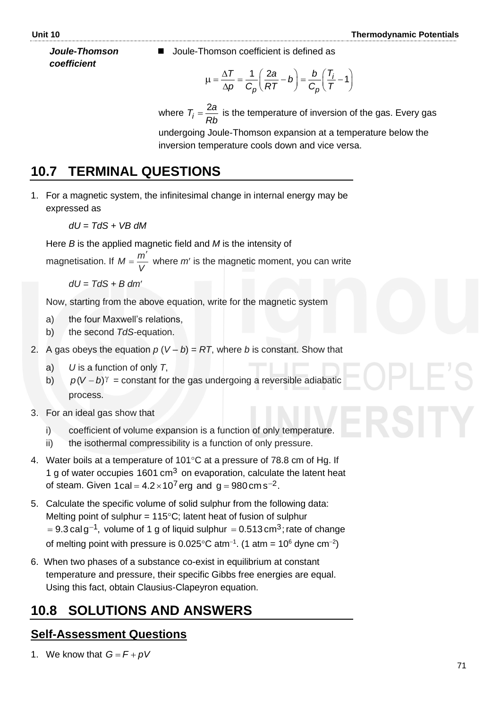*Joule***-***Thomson coefficient*

◼ Joule-Thomson coefficient is defined as

$$
\mu = \frac{\Delta T}{\Delta p} = \frac{1}{C_p} \left( \frac{2a}{RT} - b \right) = \frac{b}{C_p} \left( \frac{T_i}{T} - 1 \right)
$$

where  $T_i = \frac{2}{5}$ *i*  $T_i = \frac{2a}{2}$ *Rb* is the temperature of inversion of the gas. Every gas

undergoing Joule-Thomson expansion at a temperature below the inversion temperature cools down and vice versa.

### **10.7 TERMINAL QUESTIONS**

1. For a magnetic system, the infinitesimal change in internal energy may be expressed as

$$
dU = TdS + VB\,dM
$$

Here *B* is the applied magnetic field and *M* is the intensity of

magnetisation. If *V*  $M = \frac{m}{v}$  $\overline{\phantom{a}}$  $=\frac{m}{v}$  where *m'* is the magnetic moment, you can write

*dU = TdS + B dm*

Now, starting from the above equation, write for the magnetic system

- a) the four Maxwell's relations,
- b) the second *TdS-*equation.
- 2. A gas obeys the equation  $p(V b) = RT$ , where *b* is constant. Show that
	- a) *U* is a function of only *T*,
	- b)  $p(V – b)$ <sup> $\gamma$ </sup> = constant for the gas undergoing a reversible adiabatic process.
- 3. For an ideal gas show that
	- i) coefficient of volume expansion is a function of only temperature.
	- ii) the isothermal compressibility is a function of only pressure.
- 4. Water boils at a temperature of 101 $\degree$ C at a pressure of 78.8 cm of Hg. If 1 g of water occupies  $1601 \text{ cm}^3$  on evaporation, calculate the latent heat of steam. Given 1cal = 4.2 $\times$ 10<sup>7</sup> erg and g = 980 cm s<sup>-2</sup>.
- 5. Calculate the specific volume of solid sulphur from the following data: Melting point of sulphur =  $115^{\circ}$ C; latent heat of fusion of sulphur = 9.3 cal g<sup>-1</sup>, volume of 1 g of liquid sulphur = 0.513 cm<sup>3</sup>; rate of change of melting point with pressure is 0.025°C atm<sup>-1</sup>. (1 atm = 10<sup>6</sup> dyne cm<sup>-2</sup>)
- 6. When two phases of a substance co-exist in equilibrium at constant temperature and pressure, their specific Gibbs free energies are equal. Using this fact, obtain Clausius-Clapeyron equation.

### **10.8 SOLUTIONS AND ANSWERS**

### **Self-Assessment Questions**

1. We know that  $G = F + pV$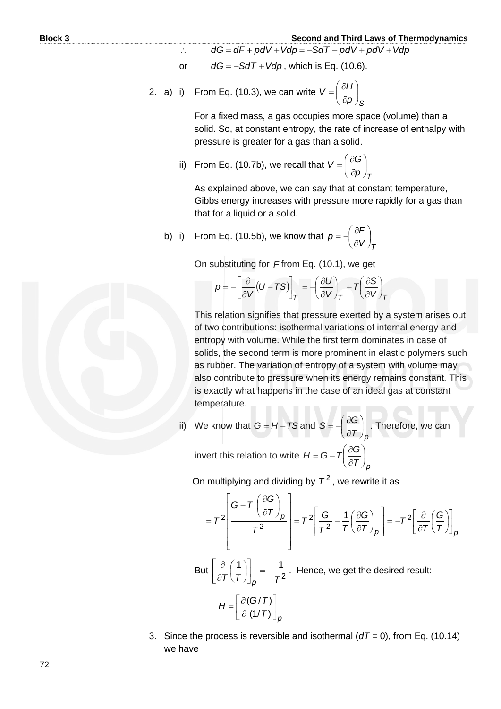- $\ddot{\cdot}$  $dG = dF + pdV + Vdp = -SdT - pdV + pdV + Vdp$
- or  $dG = -SdT + Vdp$ , which is Eq. (10.6).
- 2. a) i) From Eq. (10.3), we can write *S p*  $V = \left(\frac{\partial H}{\partial n}\right)$  $\bigg)$  $\overline{\phantom{a}}$  $\overline{\phantom{a}}$  $\overline{\phantom{a}}$ ſ  $\hat{c}$  $=\left(\frac{\partial}{\partial x}\right)^2$

For a fixed mass, a gas occupies more space (volume) than a solid. So, at constant entropy, the rate of increase of enthalpy with pressure is greater for a gas than a solid.

ii) From Eq. (10.7b), we recall that *T p*  $V = \left(\frac{\partial G}{\partial n}\right)$  $\bigg)$  $\left( \right)$  $\overline{\phantom{a}}$  $\overline{\phantom{a}}$ ſ  $\partial$  $=\left(\frac{\partial}{\partial x}\right)^2$ 

As explained above, we can say that at constant temperature, Gibbs energy increases with pressure more rapidly for a gas than that for a liquid or a solid.

b) i) From Eq. (10.5b), we know that  $V$ <sub>*T*</sub>  $p = -\left(\frac{\partial F}{\partial V}\right)$  $\bigg)$  $\left(\frac{\partial F}{\partial V}\right)$  $\setminus$ ſ  $\hat{c}$  $=\frac{\partial}{\partial t}$ 

On substituting for *F* from Eq. (10.1), we get  
\n
$$
p = -\left[\frac{\partial}{\partial V}(U - TS)\right]_T = -\left(\frac{\partial U}{\partial V}\right)_T + T\left(\frac{\partial S}{\partial V}\right)_T
$$

This relation signifies that pressure exerted by a system arises out of two contributions: isothermal variations of internal energy and entropy with volume. While the first term dominates in case of solids, the second term is more prominent in elastic polymers such as rubber. The variation of entropy of a system with volume may also contribute to pressure when its energy remains constant. This is exactly what happens in the case of an ideal gas at constant temperature.

ii) We know that  $G = H - TS$  and  $\left( \mathsf{\Gamma}\thinspace\right) _{\rho}$  $S = -\left(\frac{\partial G}{\partial \tau}\right)$  $\overline{\phantom{a}}$  $\left(\frac{\partial G}{\partial \bm{\tau}}\right)$  $\overline{\phantom{a}}$ ſ  $\hat{o}$  $=-\left(\frac{\partial G}{\partial \tau}\right)^2$ . Therefore, we can

invert this relation to write  $\left. \rho \right. \mathcal{T}$  )  $_{\rho}$  $H = G - T \left( \frac{\partial G}{\partial \tau} \right)$  $\bigg)$  $\left(\frac{\partial G}{\partial \bm{\tau}}\right)$  $\overline{\mathcal{L}}$  $\int$  $\hat{o}$  $=\mathbf{G}-\mathbf{T}\left(\frac{\partial}{\partial t}\right)$ 

On multiplying and dividing by  $\, \mathcal{T}^2$  , we rewrite it as

$$
=T^{2}\left[\frac{G-T\left(\frac{\partial G}{\partial T}\right)_{p}}{T^{2}}\right]=T^{2}\left[\frac{G}{T^{2}}-\frac{1}{T}\left(\frac{\partial G}{\partial T}\right)_{p}\right]=-T^{2}\left[\frac{\partial}{\partial T}\left(\frac{G}{T}\right)\right]_{p}
$$

But  $\left|\frac{\partial}{\partial T}\left(\frac{1}{T}\right)\right| = -\frac{1}{T^2}$  $1$  | 1  $(T/T)^{n}$ <sub>*p*</sub> *T* −=  $\frac{1}{2}$  $\overline{\phantom{a}}$ L L I  $\overline{\phantom{a}}$ J  $\left(\frac{1}{7}\right)$  $\setminus$ ſ  $\partial$  $\left. \frac{\partial}{\partial \mathbf{r}} \left( \frac{\mathbf{r}}{\mathbf{r}} \right) \right| = -\frac{1}{2}$ . Hence, we get the desired result:

$$
H = \left[\frac{\partial (G/T)}{\partial (1/T)}\right]_p
$$

3. Since the process is reversible and isothermal (*dT =* 0), from Eq. (10.14) we have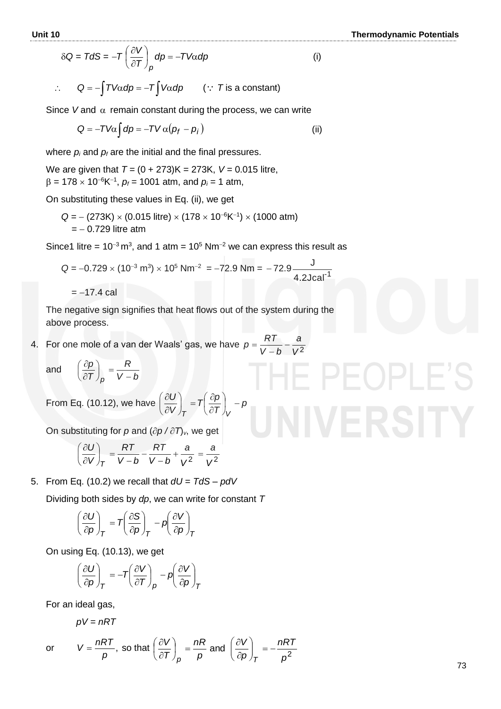(i)

$$
\delta Q = T dS = -T \left( \frac{\partial V}{\partial T} \right)_p dp = -T V \alpha dp
$$

$$
\therefore \qquad Q = -\int TV\alpha \, dp = -T \int V\alpha \, dp \qquad (\because \text{ } T \text{ is a constant})
$$

Since V and 
$$
\alpha
$$
 remain constant during the process, we can write  
\n
$$
Q = -TV\alpha \int dp = -TV\alpha (p_f - p_i)
$$
\n(ii)

where  $p_i$  and  $p_f$  are the initial and the final pressures.

We are given that *T =* (0 + 273)K = 273K, *V =* 0.015 litre,  $\beta$  = 178 × 10<sup>-6</sup>K<sup>-1</sup>,  $p_f$  = 1001 atm, and  $p_i$  = 1 atm,

On substituting these values in Eq. (ii), we get

$$
Q = -(273K) \times (0.015 \text{ litre}) \times (178 \times 10^{-6} \text{K}^{-1}) \times (1000 \text{ atm})
$$
  
= -0.729 litre atm

Since1 litre = 10<sup>-3</sup> m<sup>3</sup>, and 1 atm = 10<sup>5</sup> Nm<sup>-2</sup> we can express this result as

 $Q = -0.729 \times (10^{-3} \text{ m}^3) \times 10^5 \text{ N} \text{m}^{-2} = -72.9 \text{ N} \text{m} = -72.9 \frac{Q}{4.2 \text{ J} \text{c} \text{a}^{-1}}$ J − 72 9.

 $=-17.4$  cal

The negative sign signifies that heat flows out of the system during the above process.

4. For one mole of a van der Waals' gas, we have  $p = \frac{p_1 p_2}{V - b} - \frac{q_1}{V^2}$ *a bV*  $p = \frac{RT}{l}$ − =

and

$$
\left(\frac{\partial p}{\partial T}\right)_p = \frac{R}{V-b}
$$

From Eq. (10.12), we have  $\left|\frac{\partial Q}{\partial V}\right| = T\left|\frac{\partial P}{\partial T}\right| - \beta$ *T*  $T\left(\frac{\partial p}{\partial x}\right)$ *V U*  $T \left( \begin{array}{c} U & I \\ V & V \end{array} \right)$ ∣∣ – J  $\left(\frac{\partial p}{\partial x}\right)$  $\setminus$  $\big($  $\partial$  $\Big| = \frac{7}{2}$  $\bigg)$  $\left(\frac{\partial U}{\partial U}\right)$  $\setminus$ ſ  $\partial$  $\partial$ 

On substituting for p and  $(\partial p / \partial T)_v$ , we get

$$
\left(\frac{\partial U}{\partial V}\right)_T = \frac{RT}{V-b} - \frac{RT}{V-b} + \frac{a}{V^2} = \frac{a}{V^2}
$$

5. From Eq. (10.2) we recall that *dU = TdS – pdV* 

Dividing both sides by *dp*, we can write for constant *T* 

$$
\left(\frac{\partial U}{\partial p}\right)_T = T\left(\frac{\partial S}{\partial p}\right)_T - p\left(\frac{\partial V}{\partial p}\right)_T
$$

On using Eq. (10.13), we get

$$
\left(\frac{\partial U}{\partial p}\right)_T = -T\left(\frac{\partial V}{\partial T}\right)_p - p\left(\frac{\partial V}{\partial p}\right)_T
$$

For an ideal gas,

$$
pV = nRT
$$

or , *p*  $V = \frac{nRT}{p}$ , so that  $\left(\frac{\partial V}{\partial T}\right)_n = \frac{nR}{p}$  and  $\left(\frac{\partial V}{\partial p}\right)_n = -\frac{nR^2}{p^2}$ *p nRT p V p nR T V*  $p \qquad p \qquad \left(\textit{op}\right)_{\mathcal{T}}$ −= J  $\setminus$  $\overline{\phantom{a}}$  $\overline{\mathcal{L}}$ ſ  $\widehat{o}$  $\left| \right| = \frac{nR}{2}$  and  $\left| \frac{\partial}{\partial r} \right|$ J  $\left(\frac{\partial V}{\partial \bm{F}}\right)$ J ſ  $\partial$  $\widehat{o}$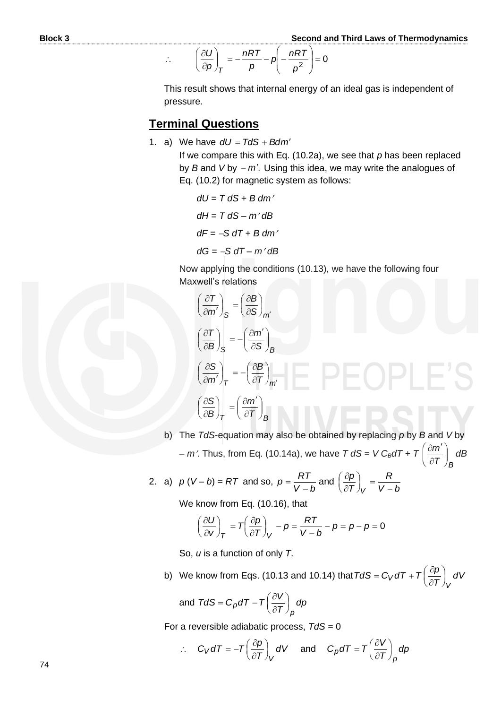$$
\therefore \qquad \left(\frac{\partial U}{\partial p}\right)_T = -\frac{nRT}{p} - p\left(-\frac{nRT}{p^2}\right) = 0
$$

This result shows that internal energy of an ideal gas is independent of pressure.

#### **Terminal Questions**

1. a) We have  $dU = TdS + Bdm'$ 

If we compare this with Eq. (10.2a), we see that *p* has been replaced by *B* and *V* by − *m'*. Using this idea, we may write the analogues of Eq. (10.2) for magnetic system as follows:

*dU = T dS + B dm dH = T dS – m dB dF =* −*S dT + B dm dG =* −*S dT – m dB*

Now applying the conditions (10.13), we have the following four Maxwell's relations

$$
\left(\frac{\partial T}{\partial m'}\right)_{S} = \left(\frac{\partial B}{\partial S}\right)_{m'}
$$
\n
$$
\left(\frac{\partial T}{\partial B}\right)_{S} = -\left(\frac{\partial m'}{\partial S}\right)_{B}
$$
\n
$$
\left(\frac{\partial S}{\partial m'}\right)_{T} = -\left(\frac{\partial B}{\partial T}\right)_{m'}
$$
\n
$$
\left(\frac{\partial S}{\partial B}\right)_{T} = \left(\frac{\partial m'}{\partial T}\right)_{B}
$$

b) The *TdS*-equation may also be obtained by replacing *p* by *B* and *V* by – *m*. Thus, from Eq. (10.14a), we have *T dS = V CBdT + T*   $\left|T\right\rangle _{E}$ *m*  $\overline{\phantom{a}}$ )  $\left( \right)$  $\overline{\phantom{a}}$  $\overline{\mathcal{L}}$ ſ  $\hat{c}$  $\frac{\partial m'}{\partial \bm{\tau}}$  *dB* 

2. a) 
$$
p(V-b) = RT
$$
 and so,  $p = \frac{RT}{V-b}$  and  $\left(\frac{\partial p}{\partial T}\right)_V = \frac{R}{V-b}$ 

We know from Eq. (10.16), that

$$
\left(\frac{\partial U}{\partial v}\right)_T = T\left(\frac{\partial p}{\partial T}\right)_V - p = \frac{RT}{V - b} - p = p - p = 0
$$

So, *u* is a function of only *T*.

b) We know from Eqs. (10.13 and 10.14) that  $TdS = C_V dT + T \frac{\partial P}{\partial T}$  dV *T*  $TdS = C_VdT + T\left(\frac{\partial p}{\partial T}\right)$  $\mathcal{E}_V dT + T\left(\frac{\partial P}{\partial T}\right)$  $\left(\frac{\partial \bm{\rho}}{\partial \bm{\mathcal{T}}}\right)$ ſ  $\hat{o}$  $=C_V dT + T\left(\frac{\partial}{\partial r}\right)$ 

*V*

and 
$$
TdS = C_p dT - T \left(\frac{\partial V}{\partial T}\right)_p dp
$$

For a reversible adiabatic process, *TdS =* 0

$$
\therefore C_V dT = -T \left(\frac{\partial p}{\partial T}\right)_V dV \quad \text{and} \quad C_p dT = T \left(\frac{\partial V}{\partial T}\right)_p dp
$$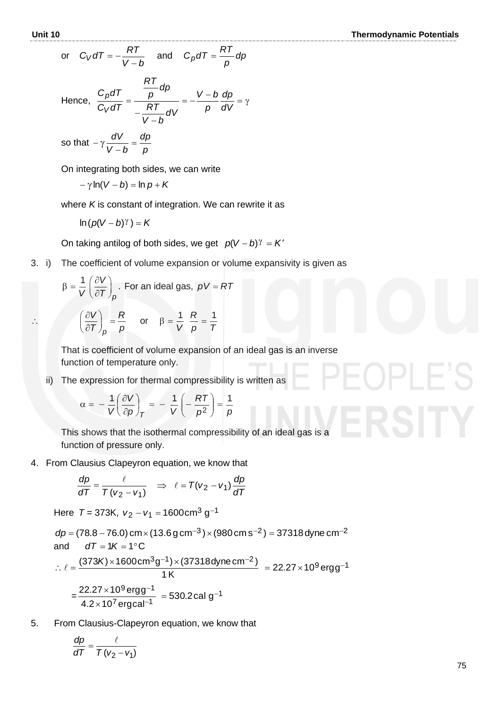or 
$$
C_V dT = -\frac{RT}{V-b}
$$
 and  $C_p dT = \frac{RT}{p} dp$ 

Hence,  $\frac{C_p dI}{C_{pT}} = \frac{p}{\sqrt{2T}} = -\frac{V-b}{\sqrt{2}} \frac{dp}{dt} = \gamma$ − − = *dV dp p bV dV bV RT dp p RT C dT C dT V p*

so that 
$$
-\gamma \frac{dV}{V-b} = \frac{dp}{p}
$$

On integrating both sides, we can write

$$
-\gamma \ln(V - b) = \ln p + K
$$

where *K* is constant of integration. We can rewrite it as

$$
\ln (p(V-b)^{\gamma}) = K
$$

On taking antilog of both sides, we get  $p(V - b)^\gamma = K'$ 

3. i) The coefficient of volume expansion or volume expansivity is given as

$$
\beta = \frac{1}{V} \left( \frac{\partial V}{\partial T} \right)_p.
$$
 For an ideal gas,  $pV = RT$ 

$$
\mathbb{R}^{\mathbb{Z}}
$$

$$
\left(\frac{\partial V}{\partial T}\right)_p = \frac{R}{p} \quad \text{or} \quad \beta = \frac{1}{V} \frac{R}{p} = \frac{1}{T}
$$

That is coefficient of volume expansion of an ideal gas is an inverse function of temperature only.

ii) The expression for thermal compressibility is written as

$$
\alpha = -\frac{1}{V} \left( \frac{\partial V}{\partial \rho} \right)_T = -\frac{1}{V} \left( -\frac{RT}{\rho^2} \right) = \frac{1}{\rho}
$$

This shows that the isothermal compressibility of an ideal gas is a function of pressure only.

4. From Clausius Clapeyron equation, we know that

$$
\frac{dp}{dT} = \frac{\ell}{T(v_2 - v_1)} \quad \Rightarrow \quad \ell = T(v_2 - v_1) \frac{dp}{dT}
$$

Here  $T = 373K$ ,  $v_2 - v_1 = 1600$ cm<sup>3</sup> g<sup>-1</sup>

$$
dp = (78.8 - 76.0) \text{ cm} \times (13.6 \text{ g cm}^{-3}) \times (980 \text{ cm s}^{-2}) = 37318 \text{ dyne cm}^{-2}
$$
  
and 
$$
dT = 1K = 1^{\circ}\text{C}
$$

$$
\therefore \ell = \frac{(373K) \times 1600 \text{ cm}^{3}\text{g}^{-1}) \times (37318 \text{ dyne cm}^{-2})}{1 \text{ K}} = 22.27 \times 10^{9} \text{ ergg}^{-1}
$$

$$
= \frac{22.27 \times 10^{9} \text{ ergg}^{-1}}{4.2 \times 10^{7} \text{ ergcal}^{-1}} = 530.2 \text{ cal g}^{-1}
$$

5. From Clausius-Clapeyron equation, we know that

$$
\frac{dp}{dT} = \frac{\ell}{T(v_2 - v_1)}
$$